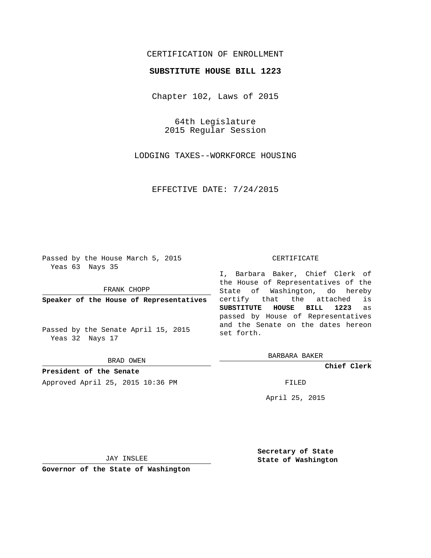## CERTIFICATION OF ENROLLMENT

## **SUBSTITUTE HOUSE BILL 1223**

Chapter 102, Laws of 2015

64th Legislature 2015 Regular Session

LODGING TAXES--WORKFORCE HOUSING

EFFECTIVE DATE: 7/24/2015

Passed by the House March 5, 2015 Yeas 63 Nays 35

FRANK CHOPP

**Speaker of the House of Representatives**

Passed by the Senate April 15, 2015 Yeas 32 Nays 17

BRAD OWEN

**President of the Senate** Approved April 25, 2015 10:36 PM FILED

## CERTIFICATE

I, Barbara Baker, Chief Clerk of the House of Representatives of the State of Washington, do hereby certify that the attached is **SUBSTITUTE HOUSE BILL 1223** as passed by House of Representatives and the Senate on the dates hereon set forth.

BARBARA BAKER

**Chief Clerk**

April 25, 2015

JAY INSLEE

**Governor of the State of Washington**

**Secretary of State State of Washington**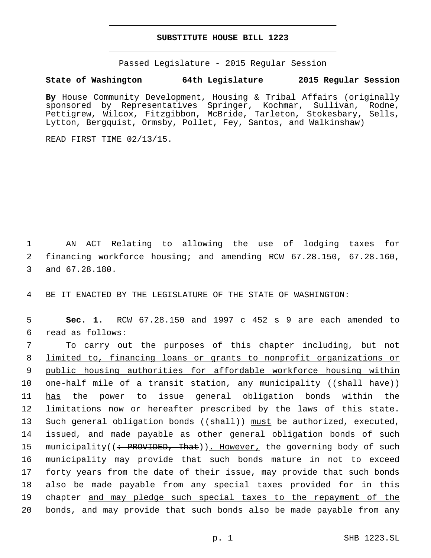## **SUBSTITUTE HOUSE BILL 1223**

Passed Legislature - 2015 Regular Session

**State of Washington 64th Legislature 2015 Regular Session**

**By** House Community Development, Housing & Tribal Affairs (originally sponsored by Representatives Springer, Kochmar, Sullivan, Rodne, Pettigrew, Wilcox, Fitzgibbon, McBride, Tarleton, Stokesbary, Sells, Lytton, Bergquist, Ormsby, Pollet, Fey, Santos, and Walkinshaw)

READ FIRST TIME 02/13/15.

1 AN ACT Relating to allowing the use of lodging taxes for 2 financing workforce housing; and amending RCW 67.28.150, 67.28.160, 3 and 67.28.180.

4 BE IT ENACTED BY THE LEGISLATURE OF THE STATE OF WASHINGTON:

5 **Sec. 1.** RCW 67.28.150 and 1997 c 452 s 9 are each amended to read as follows:6

7 To carry out the purposes of this chapter including, but not 8 limited to, financing loans or grants to nonprofit organizations or 9 public housing authorities for affordable workforce housing within 10 one-half mile of a transit station, any municipality ((shall have)) 11 has the power to issue general obligation bonds within the 12 limitations now or hereafter prescribed by the laws of this state. 13 Such general obligation bonds ((shall)) must be authorized, executed, 14 issued, and made payable as other general obligation bonds of such 15 municipality((: PROVIDED, That)). However, the governing body of such 16 municipality may provide that such bonds mature in not to exceed 17 forty years from the date of their issue, may provide that such bonds 18 also be made payable from any special taxes provided for in this 19 chapter and may pledge such special taxes to the repayment of the 20 bonds, and may provide that such bonds also be made payable from any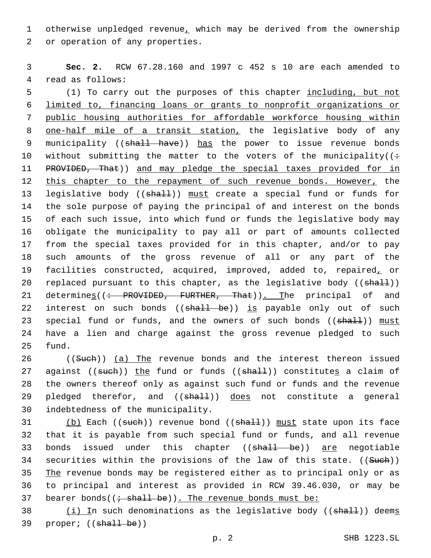1 otherwise unpledged revenue, which may be derived from the ownership 2 or operation of any properties.

3 **Sec. 2.** RCW 67.28.160 and 1997 c 452 s 10 are each amended to 4 read as follows:

5 (1) To carry out the purposes of this chapter including, but not 6 limited to, financing loans or grants to nonprofit organizations or 7 public housing authorities for affordable workforce housing within 8 one-half mile of a transit station, the legislative body of any 9 municipality ((shall have)) has the power to issue revenue bonds 10 without submitting the matter to the voters of the municipality( $($ : 11 PROVIDED, That)) and may pledge the special taxes provided for in 12 this chapter to the repayment of such revenue bonds. However, the 13 legislative body ((shall)) must create a special fund or funds for 14 the sole purpose of paying the principal of and interest on the bonds 15 of each such issue, into which fund or funds the legislative body may 16 obligate the municipality to pay all or part of amounts collected 17 from the special taxes provided for in this chapter, and/or to pay 18 such amounts of the gross revenue of all or any part of the 19 facilities constructed, acquired, improved, added to, repaired, or 20 replaced pursuant to this chapter, as the legislative body ((shall)) 21 determines((: PROVIDED, FURTHER, That)). The principal of and 22 interest on such bonds ((shall be)) is payable only out of such 23 special fund or funds, and the owners of such bonds ((shall)) must 24 have a lien and charge against the gross revenue pledged to such 25 fund.

26 ((Such)) (a) The revenue bonds and the interest thereon issued 27 against ((such)) the fund or funds ((shall)) constitutes a claim of 28 the owners thereof only as against such fund or funds and the revenue 29 pledged therefor, and ((shall)) does not constitute a general 30 indebtedness of the municipality.

31 (b) Each ((such)) revenue bond ((shall)) must state upon its face 32 that it is payable from such special fund or funds, and all revenue 33 bonds issued under this chapter ((shall be)) are negotiable 34 securities within the provisions of the law of this state. ((Sueh)) 35 The revenue bonds may be registered either as to principal only or as 36 to principal and interest as provided in RCW 39.46.030, or may be 37 bearer bonds( $(i - shall be)$ ). The revenue bonds must be:

38  $(i)$  In such denominations as the legislative body (( $shall$ )) deems 39 proper; ((shall be))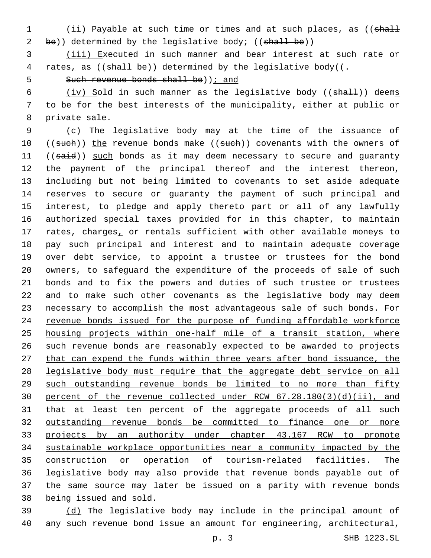1 (ii) Payable at such time or times and at such places, as ((shall 2 be)) determined by the legislative body; ((shall be))

 (iii) Executed in such manner and bear interest at such rate or 4 rates, as (( $\frac{1}{2}$  be)) determined by the legislative body(( $\frac{1}{2}$ )

5 Such revenue bonds shall be) i and

6 (iv) Sold in such manner as the legislative body (( $shall$ )) deems to be for the best interests of the municipality, either at public or 8 private sale.

 (c) The legislative body may at the time of the issuance of 10 ((such)) the revenue bonds make ((such)) covenants with the owners of 11 ((said)) such bonds as it may deem necessary to secure and guaranty the payment of the principal thereof and the interest thereon, including but not being limited to covenants to set aside adequate reserves to secure or guaranty the payment of such principal and interest, to pledge and apply thereto part or all of any lawfully authorized special taxes provided for in this chapter, to maintain 17 rates, charges, or rentals sufficient with other available moneys to pay such principal and interest and to maintain adequate coverage over debt service, to appoint a trustee or trustees for the bond owners, to safeguard the expenditure of the proceeds of sale of such bonds and to fix the powers and duties of such trustee or trustees and to make such other covenants as the legislative body may deem 23 necessary to accomplish the most advantageous sale of such bonds. For revenue bonds issued for the purpose of funding affordable workforce housing projects within one-half mile of a transit station, where such revenue bonds are reasonably expected to be awarded to projects that can expend the funds within three years after bond issuance, the legislative body must require that the aggregate debt service on all such outstanding revenue bonds be limited to no more than fifty percent of the revenue collected under RCW 67.28.180(3)(d)(ii), and 31 that at least ten percent of the aggregate proceeds of all such outstanding revenue bonds be committed to finance one or more 33 projects by an authority under chapter 43.167 RCW to promote sustainable workplace opportunities near a community impacted by the construction or operation of tourism-related facilities. The legislative body may also provide that revenue bonds payable out of the same source may later be issued on a parity with revenue bonds 38 being issued and sold.

 (d) The legislative body may include in the principal amount of any such revenue bond issue an amount for engineering, architectural,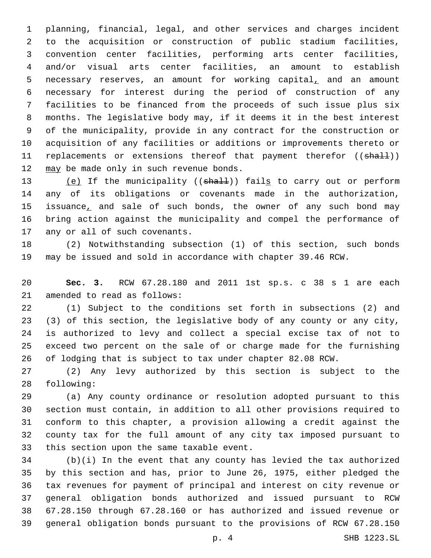planning, financial, legal, and other services and charges incident to the acquisition or construction of public stadium facilities, convention center facilities, performing arts center facilities, and/or visual arts center facilities, an amount to establish necessary reserves, an amount for working capital, and an amount necessary for interest during the period of construction of any facilities to be financed from the proceeds of such issue plus six months. The legislative body may, if it deems it in the best interest of the municipality, provide in any contract for the construction or acquisition of any facilities or additions or improvements thereto or 11 replacements or extensions thereof that payment therefor ((shall)) 12 may be made only in such revenue bonds.

13 (e) If the municipality ((shall)) fails to carry out or perform any of its obligations or covenants made in the authorization, 15 issuance, and sale of such bonds, the owner of any such bond may bring action against the municipality and compel the performance of 17 any or all of such covenants.

 (2) Notwithstanding subsection (1) of this section, such bonds may be issued and sold in accordance with chapter 39.46 RCW.

 **Sec. 3.** RCW 67.28.180 and 2011 1st sp.s. c 38 s 1 are each 21 amended to read as follows:

 (1) Subject to the conditions set forth in subsections (2) and (3) of this section, the legislative body of any county or any city, is authorized to levy and collect a special excise tax of not to exceed two percent on the sale of or charge made for the furnishing of lodging that is subject to tax under chapter 82.08 RCW.

 (2) Any levy authorized by this section is subject to the 28 following:

 (a) Any county ordinance or resolution adopted pursuant to this section must contain, in addition to all other provisions required to conform to this chapter, a provision allowing a credit against the county tax for the full amount of any city tax imposed pursuant to 33 this section upon the same taxable event.

 (b)(i) In the event that any county has levied the tax authorized by this section and has, prior to June 26, 1975, either pledged the tax revenues for payment of principal and interest on city revenue or general obligation bonds authorized and issued pursuant to RCW 67.28.150 through 67.28.160 or has authorized and issued revenue or general obligation bonds pursuant to the provisions of RCW 67.28.150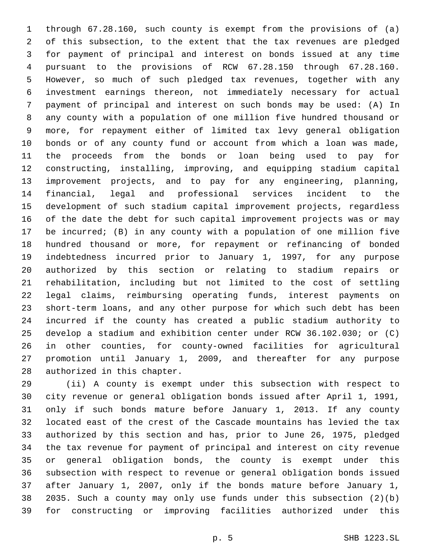through 67.28.160, such county is exempt from the provisions of (a) of this subsection, to the extent that the tax revenues are pledged for payment of principal and interest on bonds issued at any time pursuant to the provisions of RCW 67.28.150 through 67.28.160. However, so much of such pledged tax revenues, together with any investment earnings thereon, not immediately necessary for actual payment of principal and interest on such bonds may be used: (A) In any county with a population of one million five hundred thousand or more, for repayment either of limited tax levy general obligation bonds or of any county fund or account from which a loan was made, the proceeds from the bonds or loan being used to pay for constructing, installing, improving, and equipping stadium capital improvement projects, and to pay for any engineering, planning, financial, legal and professional services incident to the development of such stadium capital improvement projects, regardless of the date the debt for such capital improvement projects was or may be incurred; (B) in any county with a population of one million five hundred thousand or more, for repayment or refinancing of bonded indebtedness incurred prior to January 1, 1997, for any purpose authorized by this section or relating to stadium repairs or rehabilitation, including but not limited to the cost of settling legal claims, reimbursing operating funds, interest payments on short-term loans, and any other purpose for which such debt has been incurred if the county has created a public stadium authority to develop a stadium and exhibition center under RCW 36.102.030; or (C) in other counties, for county-owned facilities for agricultural promotion until January 1, 2009, and thereafter for any purpose 28 authorized in this chapter.

 (ii) A county is exempt under this subsection with respect to city revenue or general obligation bonds issued after April 1, 1991, only if such bonds mature before January 1, 2013. If any county located east of the crest of the Cascade mountains has levied the tax authorized by this section and has, prior to June 26, 1975, pledged the tax revenue for payment of principal and interest on city revenue or general obligation bonds, the county is exempt under this subsection with respect to revenue or general obligation bonds issued after January 1, 2007, only if the bonds mature before January 1, 2035. Such a county may only use funds under this subsection (2)(b) for constructing or improving facilities authorized under this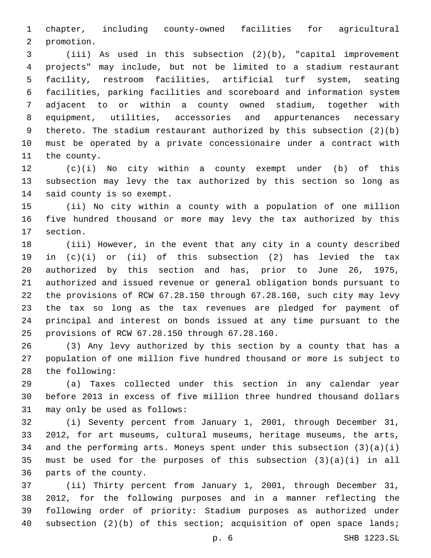chapter, including county-owned facilities for agricultural 2 promotion.

 (iii) As used in this subsection (2)(b), "capital improvement projects" may include, but not be limited to a stadium restaurant facility, restroom facilities, artificial turf system, seating facilities, parking facilities and scoreboard and information system adjacent to or within a county owned stadium, together with equipment, utilities, accessories and appurtenances necessary thereto. The stadium restaurant authorized by this subsection (2)(b) must be operated by a private concessionaire under a contract with 11 the county.

 (c)(i) No city within a county exempt under (b) of this subsection may levy the tax authorized by this section so long as 14 said county is so exempt.

 (ii) No city within a county with a population of one million five hundred thousand or more may levy the tax authorized by this 17 section.

 (iii) However, in the event that any city in a county described in (c)(i) or (ii) of this subsection (2) has levied the tax authorized by this section and has, prior to June 26, 1975, authorized and issued revenue or general obligation bonds pursuant to the provisions of RCW 67.28.150 through 67.28.160, such city may levy the tax so long as the tax revenues are pledged for payment of principal and interest on bonds issued at any time pursuant to the provisions of RCW 67.28.150 through 67.28.160.25

 (3) Any levy authorized by this section by a county that has a population of one million five hundred thousand or more is subject to 28 the following:

 (a) Taxes collected under this section in any calendar year before 2013 in excess of five million three hundred thousand dollars 31 may only be used as follows:

 (i) Seventy percent from January 1, 2001, through December 31, 2012, for art museums, cultural museums, heritage museums, the arts, and the performing arts. Moneys spent under this subsection (3)(a)(i) must be used for the purposes of this subsection (3)(a)(i) in all 36 parts of the county.

 (ii) Thirty percent from January 1, 2001, through December 31, 2012, for the following purposes and in a manner reflecting the following order of priority: Stadium purposes as authorized under 40 subsection (2)(b) of this section; acquisition of open space lands;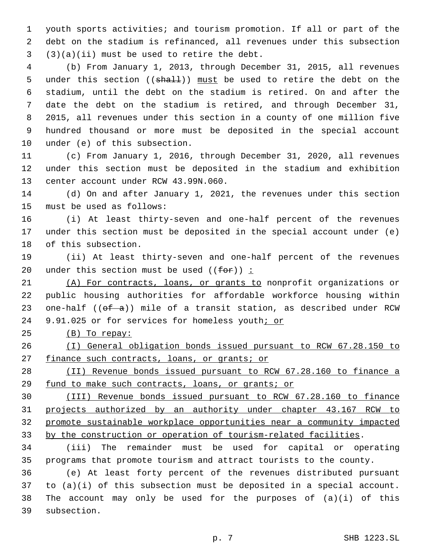youth sports activities; and tourism promotion. If all or part of the debt on the stadium is refinanced, all revenues under this subsection  $(3)(a)(ii)$  must be used to retire the debt.

 (b) From January 1, 2013, through December 31, 2015, all revenues 5 under this section ((shall)) must be used to retire the debt on the stadium, until the debt on the stadium is retired. On and after the date the debt on the stadium is retired, and through December 31, 2015, all revenues under this section in a county of one million five hundred thousand or more must be deposited in the special account 10 under (e) of this subsection.

 (c) From January 1, 2016, through December 31, 2020, all revenues under this section must be deposited in the stadium and exhibition 13 center account under RCW 43.99N.060.

 (d) On and after January 1, 2021, the revenues under this section 15 must be used as follows:

 (i) At least thirty-seven and one-half percent of the revenues under this section must be deposited in the special account under (e) 18 of this subsection.

 (ii) At least thirty-seven and one-half percent of the revenues 20 under this section must be used  $((f\theta)^2)^2$ :

 (A) For contracts, loans, or grants to nonprofit organizations or public housing authorities for affordable workforce housing within 23 one-half ( $(\theta f - a)$ ) mile of a transit station, as described under RCW 24 9.91.025 or for services for homeless youth; or

(B) To repay:

 (I) General obligation bonds issued pursuant to RCW 67.28.150 to 27 finance such contracts, loans, or grants; or

 (II) Revenue bonds issued pursuant to RCW 67.28.160 to finance a fund to make such contracts, loans, or grants; or

 (III) Revenue bonds issued pursuant to RCW 67.28.160 to finance projects authorized by an authority under chapter 43.167 RCW to promote sustainable workplace opportunities near a community impacted by the construction or operation of tourism-related facilities.

 (iii) The remainder must be used for capital or operating programs that promote tourism and attract tourists to the county.

 (e) At least forty percent of the revenues distributed pursuant to (a)(i) of this subsection must be deposited in a special account. The account may only be used for the purposes of (a)(i) of this 39 subsection.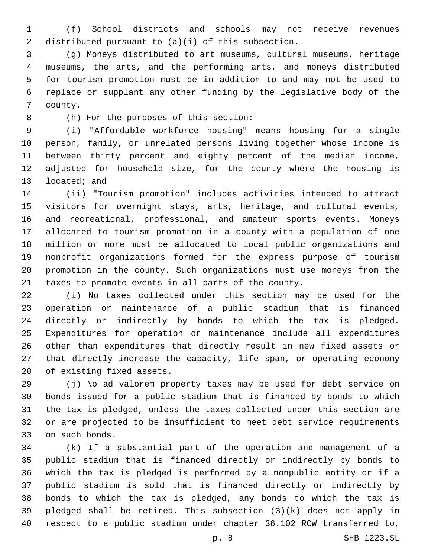(f) School districts and schools may not receive revenues 2 distributed pursuant to  $(a)(i)$  of this subsection.

 (g) Moneys distributed to art museums, cultural museums, heritage museums, the arts, and the performing arts, and moneys distributed for tourism promotion must be in addition to and may not be used to replace or supplant any other funding by the legislative body of the 7 county.

(h) For the purposes of this section:8

 (i) "Affordable workforce housing" means housing for a single person, family, or unrelated persons living together whose income is between thirty percent and eighty percent of the median income, adjusted for household size, for the county where the housing is 13 located; and

 (ii) "Tourism promotion" includes activities intended to attract visitors for overnight stays, arts, heritage, and cultural events, and recreational, professional, and amateur sports events. Moneys allocated to tourism promotion in a county with a population of one million or more must be allocated to local public organizations and nonprofit organizations formed for the express purpose of tourism promotion in the county. Such organizations must use moneys from the taxes to promote events in all parts of the county.

 (i) No taxes collected under this section may be used for the operation or maintenance of a public stadium that is financed directly or indirectly by bonds to which the tax is pledged. Expenditures for operation or maintenance include all expenditures other than expenditures that directly result in new fixed assets or that directly increase the capacity, life span, or operating economy 28 of existing fixed assets.

 (j) No ad valorem property taxes may be used for debt service on bonds issued for a public stadium that is financed by bonds to which the tax is pledged, unless the taxes collected under this section are or are projected to be insufficient to meet debt service requirements 33 on such bonds.

 (k) If a substantial part of the operation and management of a public stadium that is financed directly or indirectly by bonds to which the tax is pledged is performed by a nonpublic entity or if a public stadium is sold that is financed directly or indirectly by bonds to which the tax is pledged, any bonds to which the tax is pledged shall be retired. This subsection (3)(k) does not apply in respect to a public stadium under chapter 36.102 RCW transferred to,